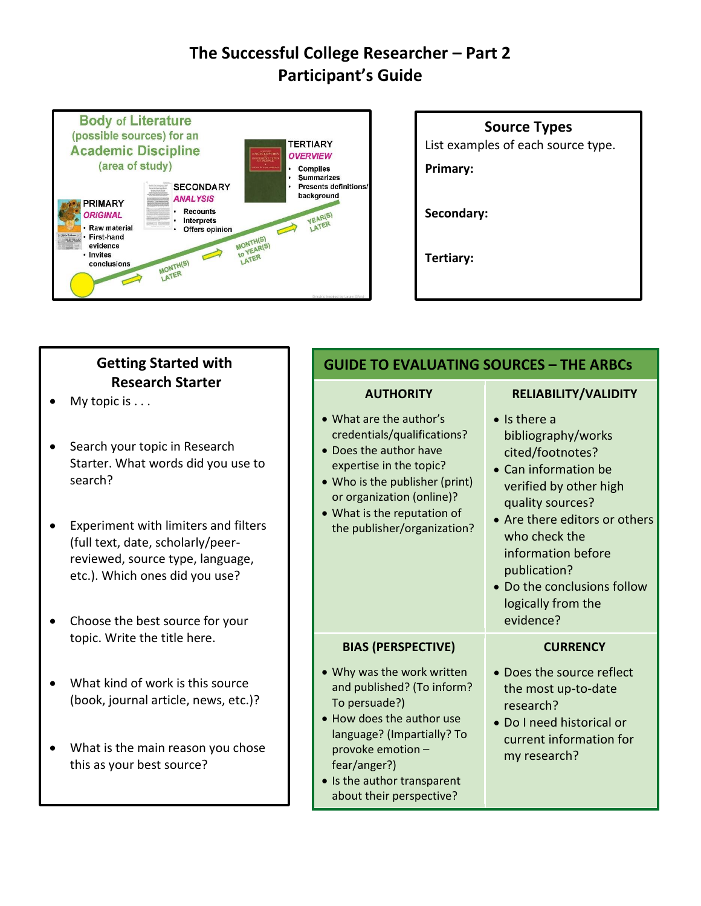# **The Successful College Researcher – Part 2 Participant's Guide**



# **Source Types** List examples of each source type. **Primary: Secondary: Tertiary:**

| <b>Getting Started with</b>                                                                                                                                                                                                                                          | <b>GUIDE TO EVALUATING SOURCES - THE ARBCS</b>                                                                                                                                                                                           |                                                                                                                                                                                                                                                                                                |
|----------------------------------------------------------------------------------------------------------------------------------------------------------------------------------------------------------------------------------------------------------------------|------------------------------------------------------------------------------------------------------------------------------------------------------------------------------------------------------------------------------------------|------------------------------------------------------------------------------------------------------------------------------------------------------------------------------------------------------------------------------------------------------------------------------------------------|
| <b>Research Starter</b><br>My topic is $\dots$                                                                                                                                                                                                                       | <b>AUTHORITY</b>                                                                                                                                                                                                                         | RELIABILITY/VALIDITY                                                                                                                                                                                                                                                                           |
| Search your topic in Research<br>Starter. What words did you use to<br>search?<br>Experiment with limiters and filters<br>(full text, date, scholarly/peer-<br>reviewed, source type, language,<br>etc.). Which ones did you use?<br>Choose the best source for your | • What are the author's<br>credentials/qualifications?<br>• Does the author have<br>expertise in the topic?<br>• Who is the publisher (print)<br>or organization (online)?<br>• What is the reputation of<br>the publisher/organization? | $\bullet$ Is there a<br>bibliography/works<br>cited/footnotes?<br>• Can information be<br>verified by other high<br>quality sources?<br>• Are there editors or others<br>who check the<br>information before<br>publication?<br>• Do the conclusions follow<br>logically from the<br>evidence? |
| topic. Write the title here.                                                                                                                                                                                                                                         | <b>BIAS (PERSPECTIVE)</b>                                                                                                                                                                                                                | <b>CURRENCY</b>                                                                                                                                                                                                                                                                                |
| What kind of work is this source<br>(book, journal article, news, etc.)?<br>What is the main reason you chose<br>$\bullet$<br>this as your best source?                                                                                                              | . Why was the work written<br>and published? (To inform?<br>To persuade?)<br>• How does the author use<br>language? (Impartially? To<br>provoke emotion -<br>fear/anger?)<br>• Is the author transparent                                 | • Does the source reflect<br>the most up-to-date<br>research?<br>• Do I need historical or<br>current information for<br>my research?                                                                                                                                                          |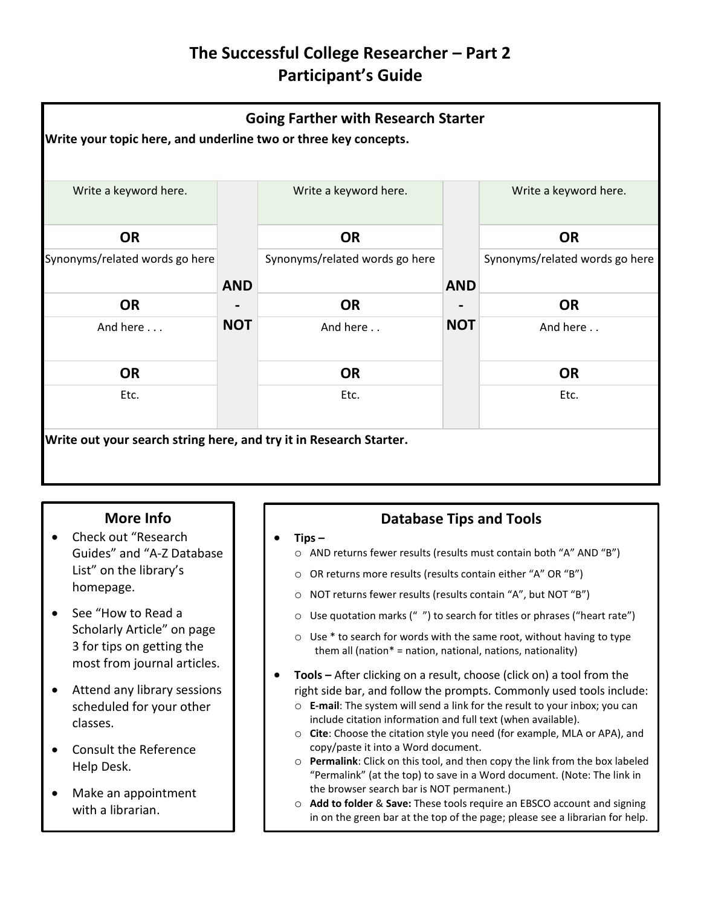## **The Successful College Researcher – Part 2 Participant's Guide**



### **More Info**

- Check out "Research Guides" and "A-Z Database List" on the library's homepage.
- See "How to Read a Scholarly Article" on page 3 for tips on getting the most from journal articles.
- Attend any library sessions scheduled for your other classes.
- Consult the Reference Help Desk.
- Make an appointment with a librarian.

## **Database Tips and Tools**

- **Tips –**
	- o AND returns fewer results (results must contain both "A" AND "B")
	- o OR returns more results (results contain either "A" OR "B")
	- o NOT returns fewer results (results contain "A", but NOT "B")
	- o Use quotation marks (" ") to search for titles or phrases ("heart rate")
	- $\circ$  Use  $*$  to search for words with the same root, without having to type them all (nation\* = nation, national, nations, nationality)
- **Tools –** After clicking on a result, choose (click on) a tool from the right side bar, and follow the prompts. Commonly used tools include:
	- o **E-mail**: The system will send a link for the result to your inbox; you can include citation information and full text (when available).
	- o **Cite**: Choose the citation style you need (for example, MLA or APA), and copy/paste it into a Word document.
	- o **Permalink**: Click on this tool, and then copy the link from the box labeled "Permalink" (at the top) to save in a Word document. (Note: The link in the browser search bar is NOT permanent.)
	- o **Add to folder** & **Save:** These tools require an EBSCO account and signing in on the green bar at the top of the page; please see a librarian for help.